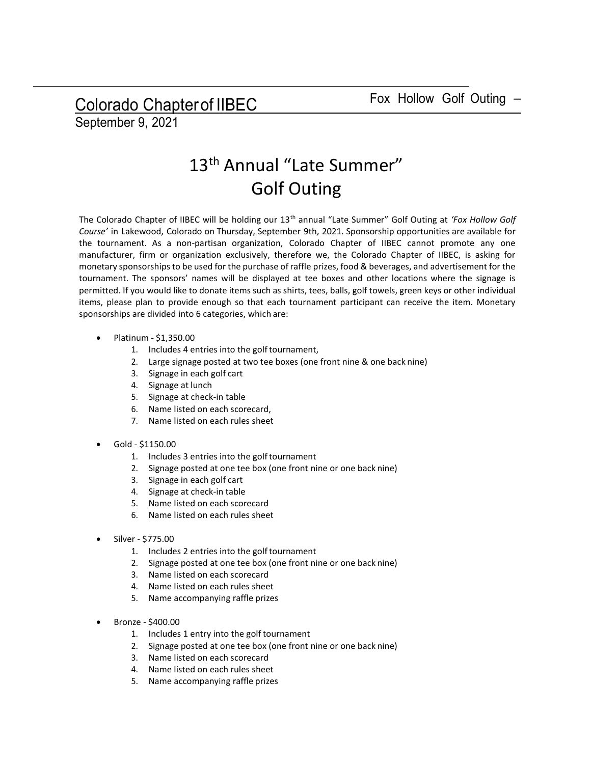Colorado Chapter of IIBEC Fox Hollow Golf Outing -

September 9, 2021

## 13<sup>th</sup> Annual "Late Summer" Golf Outing

The Colorado Chapter of IIBEC will be holding our 13<sup>th</sup> annual "Late Summer" Golf Outing at 'Fox Hollow Golf Course' in Lakewood, Colorado on Thursday, September 9th, 2021. Sponsorship opportunities are available for the tournament. As a non-partisan organization, Colorado Chapter of IIBEC cannot promote any one manufacturer, firm or organization exclusively, therefore we, the Colorado Chapter of IIBEC, is asking for monetary sponsorships to be used for the purchase of raffle prizes, food & beverages, and advertisement for the tournament. The sponsors' names will be displayed at tee boxes and other locations where the signage is permitted. If you would like to donate items such as shirts, tees, balls, golf towels, green keys or other individual items, please plan to provide enough so that each tournament participant can receive the item. Monetary sponsorships are divided into 6 categories, which are:

- Platinum \$1,350.00
	- 1. Includes 4 entries into the golf tournament,
	- 2. Large signage posted at two tee boxes (one front nine & one back nine)
	- 3. Signage in each golf cart
	- 4. Signage at lunch
	- 5. Signage at check-in table
	- 6. Name listed on each scorecard,
	- 7. Name listed on each rules sheet
- Gold \$1150.00
	- 1. Includes 3 entries into the golf tournament
	- 2. Signage posted at one tee box (one front nine or one back nine)
	- 3. Signage in each golf cart
	- 4. Signage at check-in table
	- 5. Name listed on each scorecard
	- 6. Name listed on each rules sheet
- Silver \$775.00
	- 1. Includes 2 entries into the golf tournament
	- 2. Signage posted at one tee box (one front nine or one back nine)
	- 3. Name listed on each scorecard
	- 4. Name listed on each rules sheet
	- 5. Name accompanying raffle prizes
- Bronze \$400.00
	- 1. Includes 1 entry into the golf tournament
	- 2. Signage posted at one tee box (one front nine or one back nine)
	- 3. Name listed on each scorecard
	- 4. Name listed on each rules sheet
	- 5. Name accompanying raffle prizes